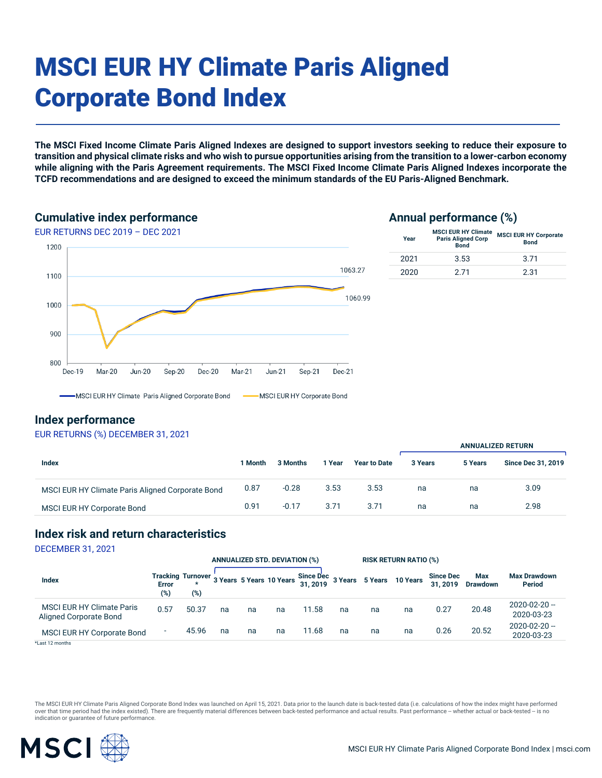# MSCI EUR HY Climate Paris Aligned Corporate Bond Index

**The MSCI Fixed Income Climate Paris Aligned Indexes are designed to support investors seeking to reduce their exposure to transition and physical climate risks and who wish to pursue opportunities arising from the transition to a lower-carbon economy while aligning with the Paris Agreement requirements. The MSCI Fixed Income Climate Paris Aligned Indexes incorporate the TCFD recommendations and are designed to exceed the minimum standards of the EU Paris-Aligned Benchmark.**

### **Cumulative index performance**





### **Index performance**

### EUR RETURNS (%) DECEMBER 31, 2021

|                                                  |         |          |        |                     | <b>ANNUALIZED RETURN</b> |         |                           |  |
|--------------------------------------------------|---------|----------|--------|---------------------|--------------------------|---------|---------------------------|--|
| Index                                            | 1 Month | 3 Months | l Year | <b>Year to Date</b> | 3 Years                  | 5 Years | <b>Since Dec 31, 2019</b> |  |
| MSCI EUR HY Climate Paris Aligned Corporate Bond | 0.87    | $-0.28$  | 3.53   | 3.53                | na                       | na      | 3.09                      |  |
| MSCI EUR HY Corporate Bond                       | 0.91    | $-0.17$  | 3.71   | 3.71                | na                       | na      | 2.98                      |  |

### **Index risk and return characteristics**

DECEMBER 31, 2021

|                                                            |                          |       |    | <b>ANNUALIZED STD. DEVIATION (%)</b> |    |       | <b>RISK RETURN RATIO (%)</b> |    |                                                                               |                             |                        |                                      |
|------------------------------------------------------------|--------------------------|-------|----|--------------------------------------|----|-------|------------------------------|----|-------------------------------------------------------------------------------|-----------------------------|------------------------|--------------------------------------|
| <b>Index</b>                                               | <b>Error</b><br>(%)      | (%)   |    |                                      |    |       |                              |    | Tracking Turnover 3 Years 5 Years 10 Years Since Dec 3 Years 5 Years 10 Years | <b>Since Dec</b><br>31.2019 | Max<br><b>Drawdown</b> | <b>Max Drawdown</b><br><b>Period</b> |
| <b>MSCI EUR HY Climate Paris</b><br>Aligned Corporate Bond | 0.57                     | 50.37 | na | na                                   | na | 11.58 | na                           | na | na                                                                            | 0.27                        | 20.48                  | 2020-02-20 --<br>2020-03-23          |
| <b>MSCI EUR HY Corporate Bond</b>                          | $\overline{\phantom{a}}$ | 45.96 | na | na                                   | na | 11.68 | na                           | na | na                                                                            | 0.26                        | 20.52                  | 2020-02-20 --<br>2020-03-23          |
| *Last 12 months                                            |                          |       |    |                                      |    |       |                              |    |                                                                               |                             |                        |                                      |

The MSCI EUR HY Climate Paris Aligned Corporate Bond Index was launched on April 15, 2021. Data prior to the launch date is back-tested data (i.e. calculations of how the index might have performed over that time period had the index existed). There are frequently material differences between back-tested performance and actual results. Past performance -- whether actual or back-tested -- is no indication or guarantee of future performance.

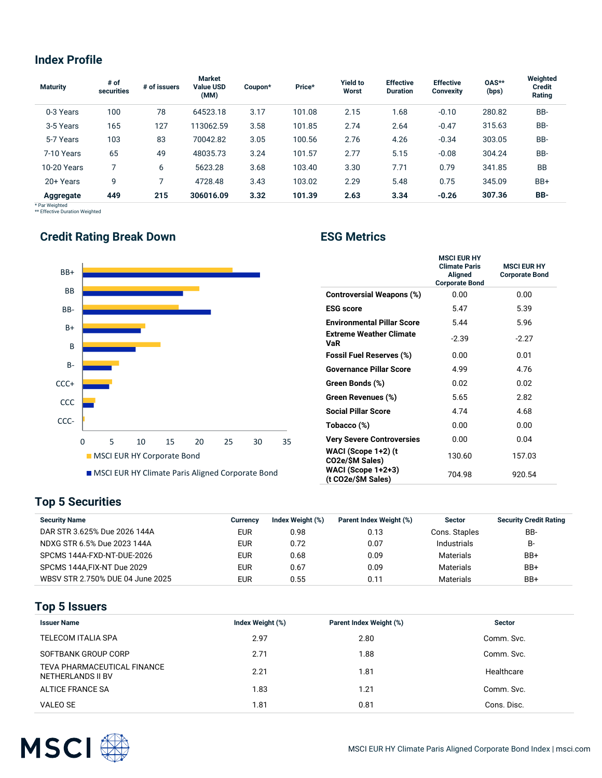## **Index Profile**

| <b>Maturity</b>             | # of<br>securities | # of issuers | <b>Market</b><br><b>Value USD</b><br>(MM) | Coupon* | Price* | <b>Yield to</b><br>Worst | <b>Effective</b><br><b>Duration</b> | <b>Effective</b><br><b>Convexity</b> | 0AS**<br>(bps) | Weighted<br><b>Credit</b><br>Rating |
|-----------------------------|--------------------|--------------|-------------------------------------------|---------|--------|--------------------------|-------------------------------------|--------------------------------------|----------------|-------------------------------------|
| 0-3 Years                   | 100                | 78           | 64523.18                                  | 3.17    | 101.08 | 2.15                     | 1.68                                | $-0.10$                              | 280.82         | BB-                                 |
| 3-5 Years                   | 165                | 127          | 113062.59                                 | 3.58    | 101.85 | 2.74                     | 2.64                                | $-0.47$                              | 315.63         | BB-                                 |
| 5-7 Years                   | 103                | 83           | 70042.82                                  | 3.05    | 100.56 | 2.76                     | 4.26                                | $-0.34$                              | 303.05         | BB-                                 |
| 7-10 Years                  | 65                 | 49           | 48035.73                                  | 3.24    | 101.57 | 2.77                     | 5.15                                | $-0.08$                              | 304.24         | BB-                                 |
| 10-20 Years                 |                    | 6            | 5623.28                                   | 3.68    | 103.40 | 3.30                     | 7.71                                | 0.79                                 | 341.85         | <b>BB</b>                           |
| 20+ Years                   | 9                  |              | 4728.48                                   | 3.43    | 103.02 | 2.29                     | 5.48                                | 0.75                                 | 345.09         | BB+                                 |
| Aggregate<br>* Dor Woightod | 449                | 215          | 306016.09                                 | 3.32    | 101.39 | 2.63                     | 3.34                                | $-0.26$                              | 307.36         | BB-                                 |

\* Par Weighted \*\* Effective Duration Weighted

# **Credit Rating Break Down <b>ESG Metrics**



|                                          | <b>MSCI EUR HY</b><br><b>Climate Paris</b><br><b>Aligned</b><br><b>Corporate Bond</b> | <b>MSCLEUR HY</b><br><b>Corporate Bond</b> |
|------------------------------------------|---------------------------------------------------------------------------------------|--------------------------------------------|
| <b>Controversial Weapons (%)</b>         | 0.00                                                                                  | 0.00                                       |
| <b>ESG</b> score                         | 5.47                                                                                  | 5.39                                       |
| <b>Environmental Pillar Score</b>        | 5.44                                                                                  | 5.96                                       |
| <b>Extreme Weather Climate</b><br>VaR    | $-2.39$                                                                               | $-2.27$                                    |
| <b>Fossil Fuel Reserves (%)</b>          | 0.00                                                                                  | 0.01                                       |
| <b>Governance Pillar Score</b>           | 4.99                                                                                  | 4.76                                       |
| Green Bonds (%)                          | 0.02                                                                                  | 0.02                                       |
| Green Revenues (%)                       | 5.65                                                                                  | 2.82                                       |
| <b>Social Pillar Score</b>               | 4.74                                                                                  | 4.68                                       |
| Tobacco (%)                              | 0.00                                                                                  | 0.00                                       |
| <b>Very Severe Controversies</b>         | 0.00                                                                                  | 0.04                                       |
| WACI (Scope 1+2) (t<br>CO2e/\$M Sales)   | 130.60                                                                                | 157.03                                     |
| WACI (Scope 1+2+3)<br>(t CO2e/\$M Sales) | 704.98                                                                                | 920.54                                     |

## **Top 5 Securities**

| <b>Security Name</b>             | Currencv   | Index Weight (%) | Parent Index Weight (%) | <b>Sector</b>      | <b>Security Credit Rating</b> |
|----------------------------------|------------|------------------|-------------------------|--------------------|-------------------------------|
| DAR STR 3.625% Due 2026 144A     | <b>EUR</b> | 0.98             | 0.13                    | Cons. Staples      | BB-                           |
| NDXG STR 6.5% Due 2023 144A      | <b>EUR</b> | 0.72             | 0.07                    | <b>Industrials</b> | <b>B-</b>                     |
| SPCMS 144A-FXD-NT-DUE-2026       | <b>EUR</b> | 0.68             | 0.09                    | Materials          | BB+                           |
| SPCMS 144A.FIX-NT Due 2029       | <b>EUR</b> | 0.67             | 0.09                    | Materials          | BB+                           |
| WBSV STR 2.750% DUE 04 June 2025 | <b>EUR</b> | 0.55             | 0.11                    | Materials          | BB+                           |

### **Top 5 Issuers**

| <b>Issuer Name</b>                               | Index Weight (%) | Parent Index Weight (%) | <b>Sector</b> |
|--------------------------------------------------|------------------|-------------------------|---------------|
| TELECOM ITALIA SPA                               | 2.97             | 2.80                    | Comm. Svc.    |
| SOFTBANK GROUP CORP                              | 2.71             | 1.88                    | Comm. Svc.    |
| TEVA PHARMACEUTICAL FINANCE<br>NETHERLANDS II BV | 2.21             | 1.81                    | Healthcare    |
| ALTICE FRANCE SA                                 | 1.83             | 1.21                    | Comm. Svc.    |
| VALEO SE                                         | 1.81             | 0.81                    | Cons. Disc.   |